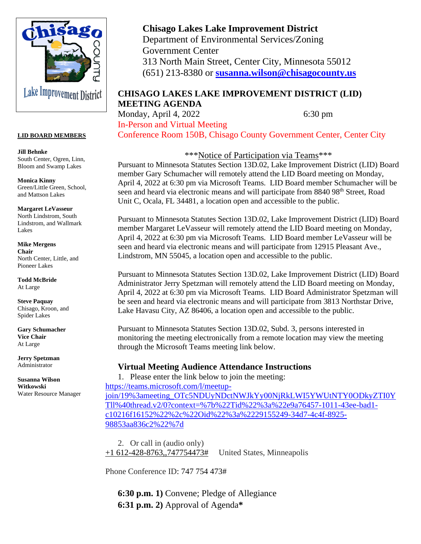

#### **LID BOARD MEMBERS**

**Jill Behnke** South Center, Ogren, Linn, Bloom and Swamp Lakes

**Monica Kinny** Green/Little Green, School, and Mattson Lakes

**Margaret LeVasseur** North Lindstrom, South Lindstrom, and Wallmark Lakes

**Mike Mergens Chair** North Center, Little, and Pioneer Lakes

**Todd McBride** At Large

**Steve Paquay** Chisago, Kroon, and Spider Lakes

**Gary Schumacher Vice Chair** At Large

**Jerry Spetzman** Administrator

**Susanna Wilson Witkowski** Water Resource Manager

# **Chisago Lakes Lake Improvement District**

Department of Environmental Services/Zoning Government Center 313 North Main Street, Center City, Minnesota 55012 (651) 213-8380 or **[susanna.wilson@chisagocounty.us](mailto:susanna.wilson@cisagoo.chisago.mn.us)**

## **CHISAGO LAKES LAKE IMPROVEMENT DISTRICT (LID) MEETING AGENDA**

Monday, April 4, 2022 6:30 pm In-Person and Virtual Meeting

Conference Room 150B, Chisago County Government Center, Center City

\*\*\*Notice of Participation via Teams\*\*\*

Pursuant to Minnesota Statutes Section 13D.02, Lake Improvement District (LID) Board member Gary Schumacher will remotely attend the LID Board meeting on Monday, April 4, 2022 at 6:30 pm via Microsoft Teams. LID Board member Schumacher will be seen and heard via electronic means and will participate from 8840 98<sup>th</sup> Street, Road Unit C, Ocala, FL 34481, a location open and accessible to the public.

Pursuant to Minnesota Statutes Section 13D.02, Lake Improvement District (LID) Board member Margaret LeVasseur will remotely attend the LID Board meeting on Monday, April 4, 2022 at 6:30 pm via Microsoft Teams. LID Board member LeVasseur will be seen and heard via electronic means and will participate from 12915 Pleasant Ave., Lindstrom, MN 55045, a location open and accessible to the public.

Pursuant to Minnesota Statutes Section 13D.02, Lake Improvement District (LID) Board Administrator Jerry Spetzman will remotely attend the LID Board meeting on Monday, April 4, 2022 at 6:30 pm via Microsoft Teams. LID Board Administrator Spetzman will be seen and heard via electronic means and will participate from 3813 Northstar Drive, Lake Havasu City, AZ 86406, a location open and accessible to the public.

Pursuant to Minnesota Statutes Section 13D.02, Subd. 3, persons interested in monitoring the meeting electronically from a remote location may view the meeting through the Microsoft Teams meeting link below.

#### **Virtual Meeting Audience Attendance Instructions**

1. Please enter the link below to join the meeting: [https://teams.microsoft.com/l/meetup](https://teams.microsoft.com/l/meetup-join/19%3ameeting_OTc5NDUyNDctNWJkYy00NjRkLWI5YWUtNTY0ODkyZTI0YTll%40thread.v2/0?context=%7b%22Tid%22%3a%22e9a76457-1011-43ee-bad1-c10216f16152%22%2c%22Oid%22%3a%2229155249-34d7-4c4f-8925-98853aa836c2%22%7d)[join/19%3ameeting\\_OTc5NDUyNDctNWJkYy00NjRkLWI5YWUtNTY0ODkyZTI0Y](https://teams.microsoft.com/l/meetup-join/19%3ameeting_OTc5NDUyNDctNWJkYy00NjRkLWI5YWUtNTY0ODkyZTI0YTll%40thread.v2/0?context=%7b%22Tid%22%3a%22e9a76457-1011-43ee-bad1-c10216f16152%22%2c%22Oid%22%3a%2229155249-34d7-4c4f-8925-98853aa836c2%22%7d) [Tll%40thread.v2/0?context=%7b%22Tid%22%3a%22e9a76457-1011-43ee-bad1](https://teams.microsoft.com/l/meetup-join/19%3ameeting_OTc5NDUyNDctNWJkYy00NjRkLWI5YWUtNTY0ODkyZTI0YTll%40thread.v2/0?context=%7b%22Tid%22%3a%22e9a76457-1011-43ee-bad1-c10216f16152%22%2c%22Oid%22%3a%2229155249-34d7-4c4f-8925-98853aa836c2%22%7d) [c10216f16152%22%2c%22Oid%22%3a%2229155249-34d7-4c4f-8925-](https://teams.microsoft.com/l/meetup-join/19%3ameeting_OTc5NDUyNDctNWJkYy00NjRkLWI5YWUtNTY0ODkyZTI0YTll%40thread.v2/0?context=%7b%22Tid%22%3a%22e9a76457-1011-43ee-bad1-c10216f16152%22%2c%22Oid%22%3a%2229155249-34d7-4c4f-8925-98853aa836c2%22%7d) [98853aa836c2%22%7d](https://teams.microsoft.com/l/meetup-join/19%3ameeting_OTc5NDUyNDctNWJkYy00NjRkLWI5YWUtNTY0ODkyZTI0YTll%40thread.v2/0?context=%7b%22Tid%22%3a%22e9a76457-1011-43ee-bad1-c10216f16152%22%2c%22Oid%22%3a%2229155249-34d7-4c4f-8925-98853aa836c2%22%7d)

2. Or call in (audio only)  $+1$  612-428-8763,,747754473# United States, Minneapolis

Phone Conference ID: 747 754 473#

**6:30 p.m. 1)** Convene; Pledge of Allegiance **6:31 p.m. 2)** Approval of Agenda**\***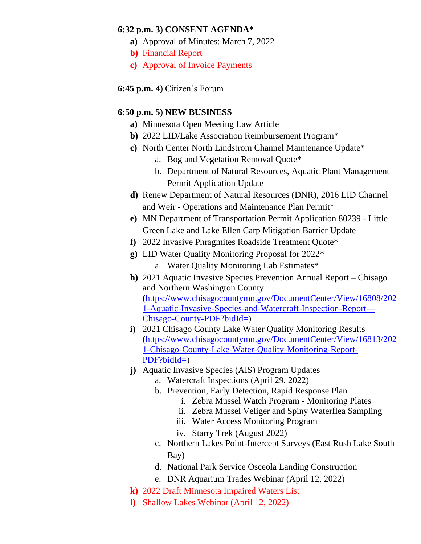#### **6:32 p.m. 3) CONSENT AGENDA\***

- **a)** Approval of Minutes: March 7, 2022
- **b)** Financial Report
- **c)** Approval of Invoice Payments

**6:45 p.m. 4)** Citizen's Forum

## **6:50 p.m. 5) NEW BUSINESS**

- **a)** Minnesota Open Meeting Law Article
- **b)** 2022 LID/Lake Association Reimbursement Program\*
- **c)** North Center North Lindstrom Channel Maintenance Update\*
	- a. Bog and Vegetation Removal Quote\*
	- b. Department of Natural Resources, Aquatic Plant Management Permit Application Update
- **d)** Renew Department of Natural Resources (DNR), 2016 LID Channel and Weir - Operations and Maintenance Plan Permit\*
- **e)** MN Department of Transportation Permit Application 80239 Little Green Lake and Lake Ellen Carp Mitigation Barrier Update
- **f)** 2022 Invasive Phragmites Roadside Treatment Quote\*
- **g)** LID Water Quality Monitoring Proposal for 2022\*
	- a. Water Quality Monitoring Lab Estimates\*
- **h)** 2021 Aquatic Invasive Species Prevention Annual Report Chisago and Northern Washington County [\(https://www.chisagocountymn.gov/DocumentCenter/View/16808/202](https://www.chisagocountymn.gov/DocumentCenter/View/16808/2021-Aquatic-Invasive-Species-and-Watercraft-Inspection-Report---Chisago-County-PDF?bidId=) [1-Aquatic-Invasive-Species-and-Watercraft-Inspection-Report---](https://www.chisagocountymn.gov/DocumentCenter/View/16808/2021-Aquatic-Invasive-Species-and-Watercraft-Inspection-Report---Chisago-County-PDF?bidId=) [Chisago-County-PDF?bidId=\)](https://www.chisagocountymn.gov/DocumentCenter/View/16808/2021-Aquatic-Invasive-Species-and-Watercraft-Inspection-Report---Chisago-County-PDF?bidId=)
- **i)** 2021 Chisago County Lake Water Quality Monitoring Results [\(https://www.chisagocountymn.gov/DocumentCenter/View/16813/202](https://www.chisagocountymn.gov/DocumentCenter/View/16813/2021-Chisago-County-Lake-Water-Quality-Monitoring-Report-PDF?bidId=) [1-Chisago-County-Lake-Water-Quality-Monitoring-Report-](https://www.chisagocountymn.gov/DocumentCenter/View/16813/2021-Chisago-County-Lake-Water-Quality-Monitoring-Report-PDF?bidId=)[PDF?bidId=\)](https://www.chisagocountymn.gov/DocumentCenter/View/16813/2021-Chisago-County-Lake-Water-Quality-Monitoring-Report-PDF?bidId=)
- **j**) Aquatic Invasive Species (AIS) Program Updates
	- a. Watercraft Inspections (April 29, 2022)
	- b. Prevention, Early Detection, Rapid Response Plan
		- i. Zebra Mussel Watch Program Monitoring Plates
		- ii. Zebra Mussel Veliger and Spiny Waterflea Sampling
		- iii. Water Access Monitoring Program
		- iv. Starry Trek (August 2022)
	- c. Northern Lakes Point-Intercept Surveys (East Rush Lake South Bay)
	- d. National Park Service Osceola Landing Construction
	- e. DNR Aquarium Trades Webinar (April 12, 2022)
- **k)** 2022 Draft Minnesota Impaired Waters List
- **l)** Shallow Lakes Webinar (April 12, 2022)